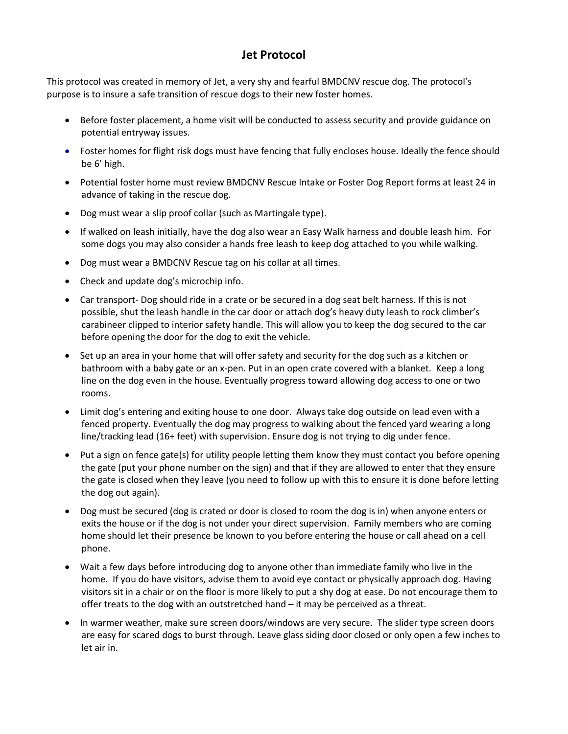## **Jet Protocol**

This protocol was created in memory of Jet, a very shy and fearful BMDCNV rescue dog. The protocol's purpose is to insure a safe transition of rescue dogs to their new foster homes.

- Before foster placement, a home visit will be conducted to assess security and provide guidance on potential entryway issues.
- Foster homes for flight risk dogs must have fencing that fully encloses house. Ideally the fence should be 6' high.
- Potential foster home must review BMDCNV Rescue Intake or Foster Dog Report forms at least 24 in advance of taking in the rescue dog.
- Dog must wear a slip proof collar (such as Martingale type).
- If walked on leash initially, have the dog also wear an Easy Walk harness and double leash him. For some dogs you may also consider a hands free leash to keep dog attached to you while walking.
- Dog must wear a BMDCNV Rescue tag on his collar at all times.
- Check and update dog's microchip info.
- Car transport- Dog should ride in a crate or be secured in a dog seat belt harness. If this is not possible, shut the leash handle in the car door or attach dog's heavy duty leash to rock climber's carabineer clipped to interior safety handle. This will allow you to keep the dog secured to the car before opening the door for the dog to exit the vehicle.
- Set up an area in your home that will offer safety and security for the dog such as a kitchen or bathroom with a baby gate or an x-pen. Put in an open crate covered with a blanket. Keep a long line on the dog even in the house. Eventually progress toward allowing dog access to one or two rooms.
- Limit dog's entering and exiting house to one door. Always take dog outside on lead even with a fenced property. Eventually the dog may progress to walking about the fenced yard wearing a long line/tracking lead (16+ feet) with supervision. Ensure dog is not trying to dig under fence.
- Put a sign on fence gate(s) for utility people letting them know they must contact you before opening the gate (put your phone number on the sign) and that if they are allowed to enter that they ensure the gate is closed when they leave (you need to follow up with this to ensure it is done before letting the dog out again).
- Dog must be secured (dog is crated or door is closed to room the dog is in) when anyone enters or exits the house or if the dog is not under your direct supervision. Family members who are coming home should let their presence be known to you before entering the house or call ahead on a cell phone.
- Wait a few days before introducing dog to anyone other than immediate family who live in the home. If you do have visitors, advise them to avoid eye contact or physically approach dog. Having visitors sit in a chair or on the floor is more likely to put a shy dog at ease. Do not encourage them to offer treats to the dog with an outstretched hand – it may be perceived as a threat.
- In warmer weather, make sure screen doors/windows are very secure. The slider type screen doors are easy for scared dogs to burst through. Leave glass siding door closed or only open a few inches to let air in.